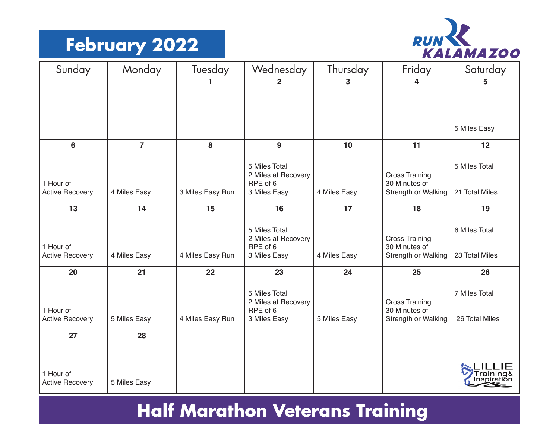# **February 2022**



| Sunday                 | Monday         | Tuesday          | Wednesday                            | Thursday     | Friday                | Saturday       |
|------------------------|----------------|------------------|--------------------------------------|--------------|-----------------------|----------------|
|                        |                | 1                | $\overline{2}$                       | 3            | 4                     | 5              |
|                        |                |                  |                                      |              |                       |                |
|                        |                |                  |                                      |              |                       |                |
|                        |                |                  |                                      |              |                       | 5 Miles Easy   |
|                        |                |                  |                                      |              |                       |                |
| 6                      | $\overline{7}$ | 8                | 9                                    | 10           | 11                    | 12             |
|                        |                |                  | 5 Miles Total                        |              |                       | 5 Miles Total  |
|                        |                |                  | 2 Miles at Recovery                  |              | <b>Cross Training</b> |                |
| 1 Hour of              |                | 3 Miles Easy Run | RPE of 6                             |              | 30 Minutes of         | 21 Total Miles |
| <b>Active Recovery</b> | 4 Miles Easy   |                  | 3 Miles Easy                         | 4 Miles Easy | Strength or Walking   |                |
| 13                     | 14             | 15               | 16                                   | 17           | 18                    | 19             |
|                        |                |                  |                                      |              |                       |                |
|                        |                |                  | 5 Miles Total<br>2 Miles at Recovery |              | <b>Cross Training</b> | 6 Miles Total  |
| 1 Hour of              |                |                  | RPE of 6                             |              | 30 Minutes of         |                |
| <b>Active Recovery</b> | 4 Miles Easy   | 4 Miles Easy Run | 3 Miles Easy                         | 4 Miles Easy | Strength or Walking   | 23 Total Miles |
| 20                     | 21             | 22               | 23                                   | 24           | 25                    | 26             |
|                        |                |                  | 5 Miles Total                        |              |                       | 7 Miles Total  |
|                        |                |                  | 2 Miles at Recovery                  |              | <b>Cross Training</b> |                |
| 1 Hour of              |                |                  | RPE of 6                             |              | 30 Minutes of         |                |
| <b>Active Recovery</b> | 5 Miles Easy   | 4 Miles Easy Run | 3 Miles Easy                         | 5 Miles Easy | Strength or Walking   | 26 Total Miles |
| 27                     | 28             |                  |                                      |              |                       |                |
|                        |                |                  |                                      |              |                       |                |
|                        |                |                  |                                      |              |                       |                |
| 1 Hour of              |                |                  |                                      |              |                       |                |
| <b>Active Recovery</b> | 5 Miles Easy   |                  |                                      |              |                       |                |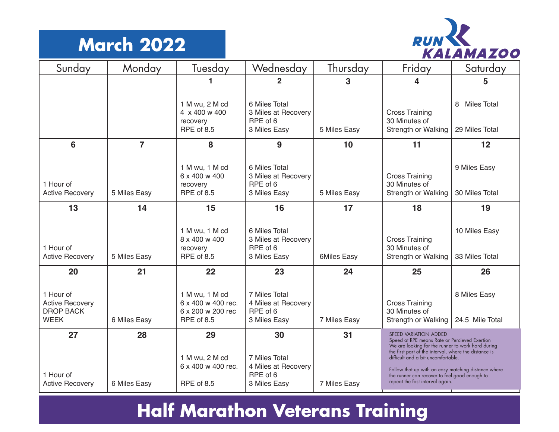### **March 2022**



| Sunday                                                                 | Monday         | Tuesday                                                                 | Wednesday                                                        | Thursday           | Friday                                                                                                                                                                                                                                                                                      | Saturday                                  |
|------------------------------------------------------------------------|----------------|-------------------------------------------------------------------------|------------------------------------------------------------------|--------------------|---------------------------------------------------------------------------------------------------------------------------------------------------------------------------------------------------------------------------------------------------------------------------------------------|-------------------------------------------|
|                                                                        |                | 1                                                                       | $\overline{2}$                                                   | 3                  | 4                                                                                                                                                                                                                                                                                           | 5                                         |
|                                                                        |                | 1 M wu, 2 M cd<br>4 x 400 w 400<br>recovery<br>RPE of 8.5               | 6 Miles Total<br>3 Miles at Recovery<br>RPE of 6<br>3 Miles Easy | 5 Miles Easy       | <b>Cross Training</b><br>30 Minutes of<br>Strength or Walking                                                                                                                                                                                                                               | <b>Miles Total</b><br>8<br>29 Miles Total |
| 6                                                                      | $\overline{7}$ | 8                                                                       | 9                                                                | 10                 | 11                                                                                                                                                                                                                                                                                          | 12                                        |
| 1 Hour of<br><b>Active Recovery</b>                                    | 5 Miles Easy   | 1 M wu, 1 M cd<br>6 x 400 w 400<br>recovery<br>RPE of 8.5               | 6 Miles Total<br>3 Miles at Recovery<br>RPE of 6<br>3 Miles Easy | 5 Miles Easy       | <b>Cross Training</b><br>30 Minutes of<br>Strength or Walking                                                                                                                                                                                                                               | 9 Miles Easy<br>30 Miles Total            |
| 13                                                                     | 14             | 15                                                                      | 16                                                               | 17                 | 18                                                                                                                                                                                                                                                                                          | 19                                        |
| 1 Hour of<br><b>Active Recovery</b>                                    | 5 Miles Easy   | 1 M wu, 1 M cd<br>8 x 400 w 400<br>recovery<br><b>RPE of 8.5</b>        | 6 Miles Total<br>3 Miles at Recovery<br>RPE of 6<br>3 Miles Easy | <b>6Miles Easy</b> | <b>Cross Training</b><br>30 Minutes of<br>Strength or Walking                                                                                                                                                                                                                               | 10 Miles Easy<br>33 Miles Total           |
| 20                                                                     | 21             | 22                                                                      | 23                                                               | 24                 | 25                                                                                                                                                                                                                                                                                          | 26                                        |
| 1 Hour of<br><b>Active Recovery</b><br><b>DROP BACK</b><br><b>WEEK</b> | 6 Miles Easy   | 1 M wu, 1 M cd<br>6 x 400 w 400 rec.<br>6 x 200 w 200 rec<br>RPE of 8.5 | 7 Miles Total<br>4 Miles at Recovery<br>RPE of 6<br>3 Miles Easy | 7 Miles Easy       | <b>Cross Training</b><br>30 Minutes of<br>Strength or Walking                                                                                                                                                                                                                               | 8 Miles Easy<br>24.5 Mile Total           |
| 27                                                                     | 28             | 29                                                                      | 30                                                               | 31                 | SPEED VARIATION ADDED<br>Speed at RPE means Rate or Percieved Exertion                                                                                                                                                                                                                      |                                           |
| 1 Hour of<br><b>Active Recovery</b>                                    | 6 Miles Easy   | 1 M wu, 2 M cd<br>6 x 400 w 400 rec.<br>RPE of 8.5                      | 7 Miles Total<br>4 Miles at Recovery<br>RPE of 6<br>3 Miles Easy | 7 Miles Easy       | We are looking for the runner to work hard during<br>the first part of the interval, where the distance is<br>difficult and a bit uncomfortable.<br>Follow that up with an easy matching distance where<br>the runner can recover to feel good enough to<br>repeat the fast interval again. |                                           |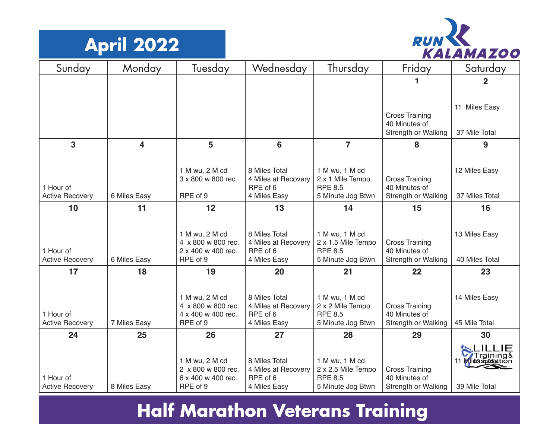



| Sunday                 | Monday                  | Tuesday                                  | Wednesday                            | Thursday                             | Friday                                 | Saturday       |
|------------------------|-------------------------|------------------------------------------|--------------------------------------|--------------------------------------|----------------------------------------|----------------|
|                        |                         |                                          |                                      |                                      |                                        | $\overline{2}$ |
|                        |                         |                                          |                                      |                                      |                                        |                |
|                        |                         |                                          |                                      |                                      |                                        | 11 Miles Easy  |
|                        |                         |                                          |                                      |                                      | <b>Cross Training</b><br>40 Minutes of |                |
|                        |                         |                                          |                                      |                                      | Strength or Walking                    | 37 Mile Total  |
| $\overline{3}$         | $\overline{\mathbf{4}}$ | 5                                        | 6                                    | $\overline{7}$                       | 8                                      | 9              |
|                        |                         |                                          |                                      |                                      |                                        |                |
|                        |                         | 1 M wu, 2 M cd<br>3 x 800 w 800 rec.     | 8 Miles Total<br>4 Miles at Recovery | 1 M wu, 1 M cd<br>2 x 1 Mile Tempo   | <b>Cross Training</b>                  | 12 Miles Easy  |
| 1 Hour of              |                         |                                          | RPE of 6                             | <b>RPE 8.5</b>                       | 40 Minutes of                          |                |
| <b>Active Recovery</b> | 6 Miles Easy            | RPE of 9                                 | 4 Miles Easy                         | 5 Minute Jog Btwn                    | Strength or Walking                    | 37 Miles Total |
| 10                     | 11                      | 12                                       | 13                                   | 14                                   | 15                                     | 16             |
|                        |                         |                                          |                                      |                                      |                                        |                |
|                        |                         | 1 M wu, 2 M cd                           | 8 Miles Total                        | 1 M wu, 1 M cd                       |                                        | 13 Miles Easy  |
| 1 Hour of              |                         | 4 x 800 w 800 rec.<br>2 x 400 w 400 rec. | 4 Miles at Recovery<br>RPE of 6      | 2 x 1.5 Mile Tempo<br><b>RPE 8.5</b> | <b>Cross Training</b><br>40 Minutes of |                |
| <b>Active Recovery</b> | 6 Miles Easy            | RPE of 9                                 | 4 Miles Easy                         | 5 Minute Jog Btwn                    | Strength or Walking                    | 40 Miles Total |
| 17                     | 18                      | 19                                       | 20                                   | 21                                   | 22                                     | 23             |
|                        |                         |                                          |                                      |                                      |                                        |                |
|                        |                         | 1 M wu, 2 M cd                           | 8 Miles Total                        | 1 M wu, 1 M cd                       |                                        | 14 Miles Easy  |
| 1 Hour of              |                         | 4 x 800 w 800 rec.<br>4 x 400 w 400 rec. | 4 Miles at Recovery<br>RPE of 6      | 2 x 2 Mile Tempo<br><b>RPE 8.5</b>   | <b>Cross Training</b><br>40 Minutes of |                |
| <b>Active Recovery</b> | 7 Miles Easy            | RPE of 9                                 | 4 Miles Easy                         | 5 Minute Jog Btwn                    | Strength or Walking                    | 45 Mile Total  |
| 24                     | 25                      | 26                                       | 27                                   | 28                                   | 29                                     | 30             |
|                        |                         |                                          |                                      |                                      |                                        |                |
|                        |                         | 1 M wu, 2 M cd                           | 8 Miles Total                        | 1 M wu, 1 M cd                       |                                        | 11 d           |
| 1 Hour of              |                         | 2 x 800 w 800 rec.<br>6 x 400 w 400 rec. | 4 Miles at Recovery<br>RPE of 6      | 2 x 2.5 Mile Tempo<br><b>RPE 8.5</b> | <b>Cross Training</b><br>40 Minutes of |                |
| <b>Active Recovery</b> | 8 Miles Easy            | RPE of 9                                 | 4 Miles Easy                         | 5 Minute Jog Btwn                    | Strength or Walking                    | 39 Mile Total  |